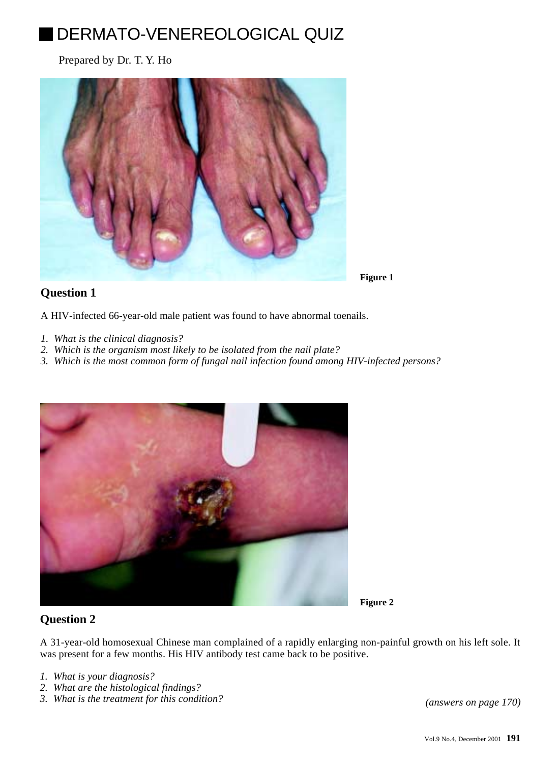# DERMATO-VENEREOLOGICAL QUIZ

Prepared by Dr. T. Y. Ho



## **Question 1**

**Figure 1**

**Figure 2**

A HIV-infected 66-year-old male patient was found to have abnormal toenails.

- *1. What is the clinical diagnosis?*
- *2. Which is the organism most likely to be isolated from the nail plate?*
- *3. Which is the most common form of fungal nail infection found among HIV-infected persons?*



## **Question 2**

A 31-year-old homosexual Chinese man complained of a rapidly enlarging non-painful growth on his left sole. It was present for a few months. His HIV antibody test came back to be positive.

- *1. What is your diagnosis?*
- *2. What are the histological findings?*
- *3. What is the treatment for this condition? (answers on page 170)*